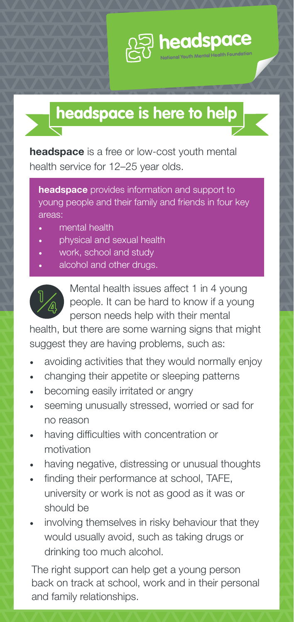

## headspace **is here to help**

**headspace** is a free or low-cost youth mental health service for 12–25 year olds.

headspace provides information and support to young people and their family and friends in four key areas:

- mental health
- physical and sexual health
- work, school and study
- alcohol and other drugs.



Mental health issues affect 1 in 4 young people. It can be hard to know if a young person needs help with their mental

health, but there are some warning signs that might suggest they are having problems, such as:

- avoiding activities that they would normally enjoy
- changing their appetite or sleeping patterns
- becoming easily irritated or angry
- seeming unusually stressed, worried or sad for no reason
- having difficulties with concentration or motivation
- having negative, distressing or unusual thoughts
- finding their performance at school, TAFE, university or work is not as good as it was or should be
- involving themselves in risky behaviour that they would usually avoid, such as taking drugs or drinking too much alcohol.

The right support can help get a young person back on track at school, work and in their personal and family relationships.